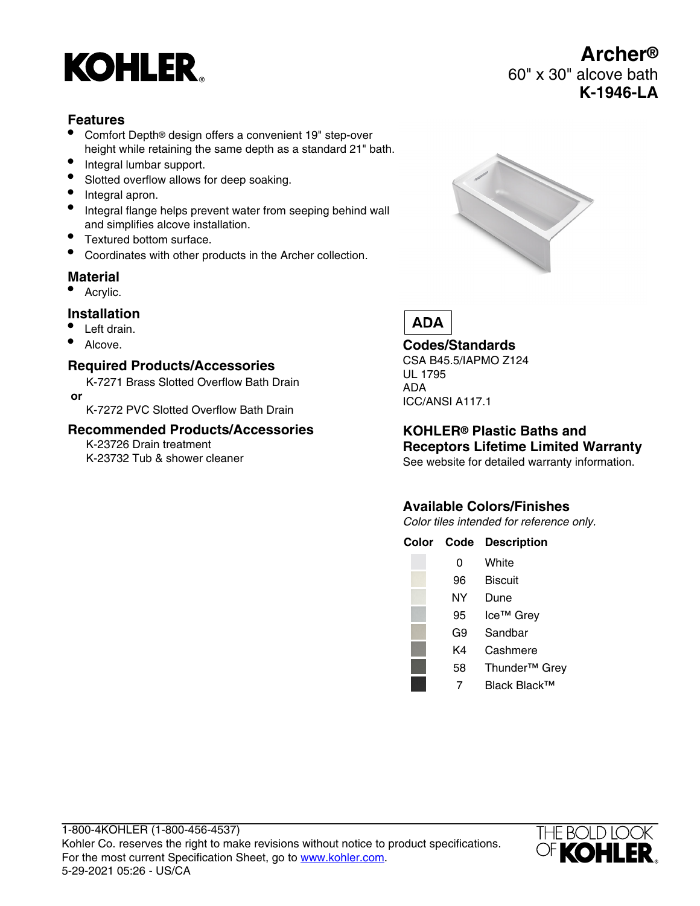# **KOHLER**

## **Features**

- Comfort Depth® design offers a convenient 19" step-over height while retaining the same depth as a standard 21" bath.
- Integral lumbar support.
- Slotted overflow allows for deep soaking.
- Integral apron.
- Integral flange helps prevent water from seeping behind wall and simplifies alcove installation.
- Textured bottom surface.
- Coordinates with other products in the Archer collection.

## **Material**

• Acrylic.

### **Installation**

- Left drain.
- Alcove.

### **Required Products/Accessories**

K-7271 Brass Slotted Overflow Bath Drain  **or**

K-7272 PVC Slotted Overflow Bath Drain

### **Recommended Products/Accessories**

K-23726 Drain treatment K-23732 Tub & shower cleaner



**Archer®**

**K-1946-LA**

60" x 30" alcove bath

# **ADA**

### **Codes/Standards**

CSA B45.5/IAPMO Z124 UL 1795 ADA ICC/ANSI A117.1

# **KOHLER® Plastic Baths and Receptors Lifetime Limited Warranty**

See website for detailed warranty information.

# **Available Colors/Finishes**

Color tiles intended for reference only.

**Color Code Description**

| 0  | White                     |
|----|---------------------------|
| 96 | <b>Biscuit</b>            |
| NΥ | Dune                      |
| 95 | Ice <sup>™</sup> Grey     |
| G9 | Sandbar                   |
| K4 | Cashmere                  |
| 58 | Thunder <sup>™</sup> Grey |
|    | Black Black™              |